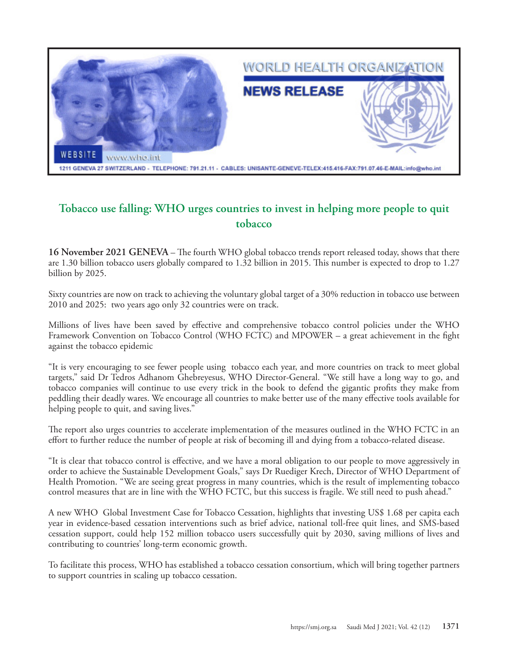

## **Tobacco use falling: WHO urges countries to invest in helping more people to quit tobacco**

**16 November 2021 GENEVA** – The fourth WHO global tobacco trends report released today, shows that there are 1.30 billion tobacco users globally compared to 1.32 billion in 2015. This number is expected to drop to 1.27 billion by 2025.

Sixty countries are now on track to achieving the voluntary global target of a 30% reduction in tobacco use between 2010 and 2025: two years ago only 32 countries were on track.

Millions of lives have been saved by effective and comprehensive tobacco control policies under the WHO Framework Convention on Tobacco Control (WHO FCTC) and MPOWER – a great achievement in the fight against the tobacco epidemic

"It is very encouraging to see fewer people using tobacco each year, and more countries on track to meet global targets," said Dr Tedros Adhanom Ghebreyesus, WHO Director-General. "We still have a long way to go, and tobacco companies will continue to use every trick in the book to defend the gigantic profits they make from peddling their deadly wares. We encourage all countries to make better use of the many effective tools available for helping people to quit, and saving lives."

The report also urges countries to accelerate implementation of the measures outlined in the WHO FCTC in an effort to further reduce the number of people at risk of becoming ill and dying from a tobacco-related disease.

"It is clear that tobacco control is effective, and we have a moral obligation to our people to move aggressively in order to achieve the Sustainable Development Goals," says Dr Ruediger Krech, Director of WHO Department of Health Promotion. "We are seeing great progress in many countries, which is the result of implementing tobacco control measures that are in line with the WHO FCTC, but this success is fragile. We still need to push ahead."

A new WHO Global Investment Case for Tobacco Cessation, highlights that investing US\$ 1.68 per capita each year in evidence-based cessation interventions such as brief advice, national toll-free quit lines, and SMS-based cessation support, could help 152 million tobacco users successfully quit by 2030, saving millions of lives and contributing to countries' long-term economic growth.

To facilitate this process, WHO has established a tobacco cessation consortium, which will bring together partners to support countries in scaling up tobacco cessation.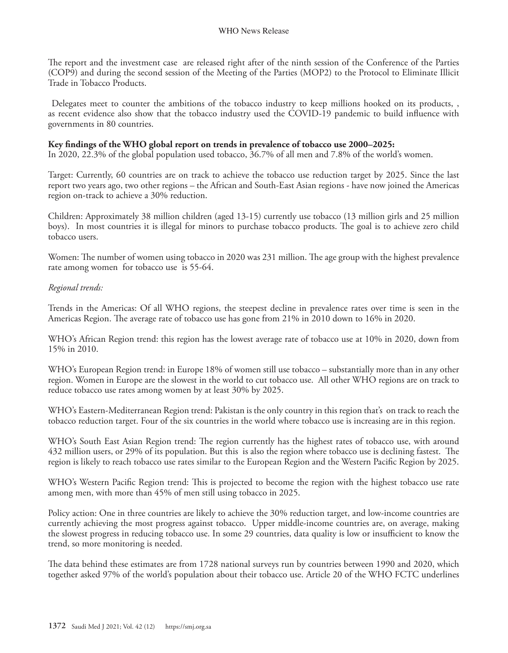The report and the investment case are released right after of the ninth session of the Conference of the Parties (COP9) and during the second session of the Meeting of the Parties (MOP2) to the Protocol to Eliminate Illicit Trade in Tobacco Products.

 Delegates meet to counter the ambitions of the tobacco industry to keep millions hooked on its products, , as recent evidence also show that the tobacco industry used the COVID-19 pandemic to build influence with governments in 80 countries.

## **Key findings of the WHO global report on trends in prevalence of tobacco use 2000–2025:**

In 2020, 22.3% of the global population used tobacco, 36.7% of all men and 7.8% of the world's women.

Target: Currently, 60 countries are on track to achieve the tobacco use reduction target by 2025. Since the last report two years ago, two other regions – the African and South-East Asian regions - have now joined the Americas region on-track to achieve a 30% reduction.

Children: Approximately 38 million children (aged 13-15) currently use tobacco (13 million girls and 25 million boys). In most countries it is illegal for minors to purchase tobacco products. The goal is to achieve zero child tobacco users.

Women: The number of women using tobacco in 2020 was 231 million. The age group with the highest prevalence rate among women for tobacco use is 55-64.

## *Regional trends:*

Trends in the Americas: Of all WHO regions, the steepest decline in prevalence rates over time is seen in the Americas Region. The average rate of tobacco use has gone from 21% in 2010 down to 16% in 2020.

WHO's African Region trend: this region has the lowest average rate of tobacco use at 10% in 2020, down from 15% in 2010.

WHO's European Region trend: in Europe 18% of women still use tobacco – substantially more than in any other region. Women in Europe are the slowest in the world to cut tobacco use. All other WHO regions are on track to reduce tobacco use rates among women by at least 30% by 2025.

WHO's Eastern-Mediterranean Region trend: Pakistan is the only country in this region that's on track to reach the tobacco reduction target. Four of the six countries in the world where tobacco use is increasing are in this region.

WHO's South East Asian Region trend: The region currently has the highest rates of tobacco use, with around 432 million users, or 29% of its population. But this is also the region where tobacco use is declining fastest. The region is likely to reach tobacco use rates similar to the European Region and the Western Pacific Region by 2025.

WHO's Western Pacific Region trend: This is projected to become the region with the highest tobacco use rate among men, with more than 45% of men still using tobacco in 2025.

Policy action: One in three countries are likely to achieve the 30% reduction target, and low-income countries are currently achieving the most progress against tobacco. Upper middle-income countries are, on average, making the slowest progress in reducing tobacco use. In some 29 countries, data quality is low or insufficient to know the trend, so more monitoring is needed.

The data behind these estimates are from 1728 national surveys run by countries between 1990 and 2020, which together asked 97% of the world's population about their tobacco use. Article 20 of the WHO FCTC underlines